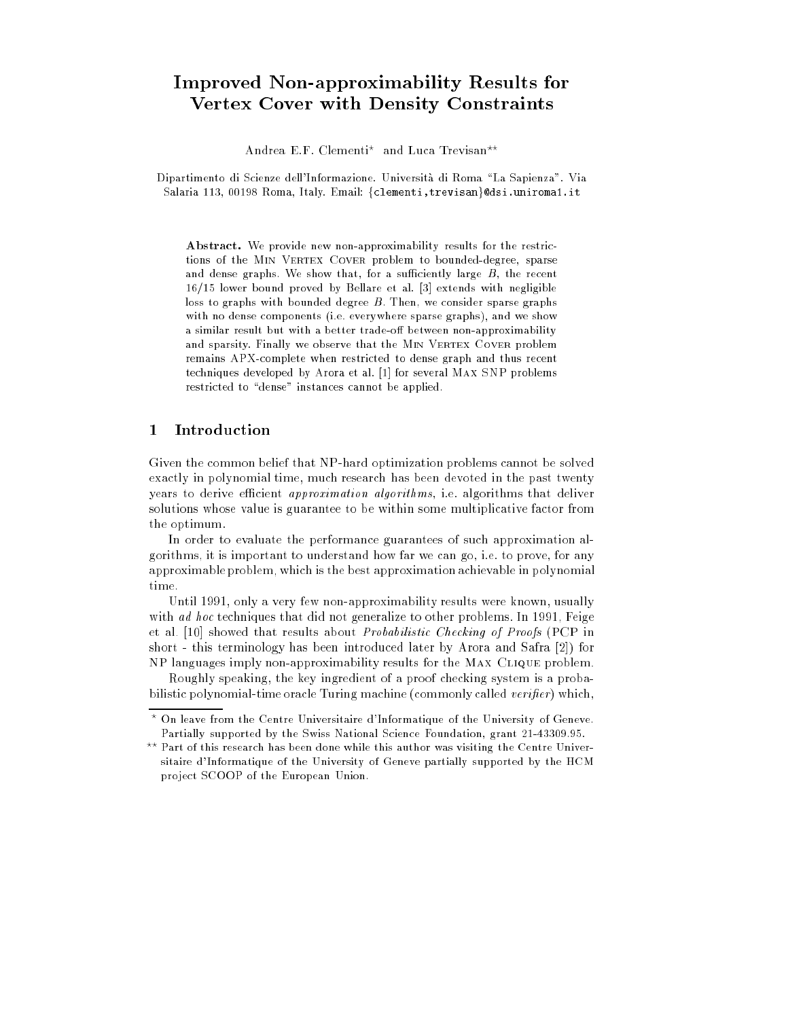# Improved Non-approximability Results for Vertex Cover with Density Constraints

Andrea E.F. Clementi? and Luca Trevisan??

Dipartimento di Scienze dell'Informazione. Università di Roma "La Sapienza". Via Salaria 113, 00198 Roma, Italy. Email: {clementi, trevisan}@dsi.uniroma1.it

Abstract. We provide new non-approximability results for the restrictions of the MIN VERTEX COVER problem to bounded-degree, sparse and dense graphs. We show that, for a sufficiently large  $B$ , the recent 16/15 lower bound proved by Bellare et al. [3] extends with negligible loss to graphs with bounded degree  $B$ . Then, we consider sparse graphs with no dense components (i.e. everywhere sparse graphs), and we show a similar result but with a better trade-off between non-approximability and sparsity. Finally we observe that the MIN VERTEX COVER problem remains APX-complete when restricted to dense graph and thus recent techniques developed by Arora et al. [1] for several Max SNP problems restricted to "dense" instances cannot be applied.

# <sup>1</sup> Introduction

Given the common belief that NP-hard optimization problems cannot be solved exactly in polynomial time, much research has been devoted in the past twenty years to derive efficient approximation algorithms, i.e. algorithms that deliver solutions whose value is guarantee to be within some multiplicative factor from the optimum.

In order to evaluate the performance guarantees of such approximation algorithms, it is important to understand how far we can go, i.e. to prove, for any approximable problem, which is the best approximation achievable in polynomial time.

Until 1991, only a very few non-approximability results were known, usually with *ad hoc* techniques that did not generalize to other problems. In 1991, Feige et al. [10] showed that results about Probabilistic Checking of Proofs (PCP in short - this terminology has been introduced later by Arora and Safra [2]) for NP languages imply non-approximability results for the Max Clique problem.

Roughly speaking, the key ingredient of a proof checking system is a probabilistic polynomial-time oracle Turing machine (commonly called verifier) which,

On leave from the Centre Universitaire d'Informatique of the University of Geneve. Partially supported by the Swiss National Science Foundation, grant 21-43309.95.

 $\degree$  Part of this research has been done while this author was visiting the Centre Universitaire d'Informatique of the University of Geneve partially supported by the HCM project SCOOP of the European Union.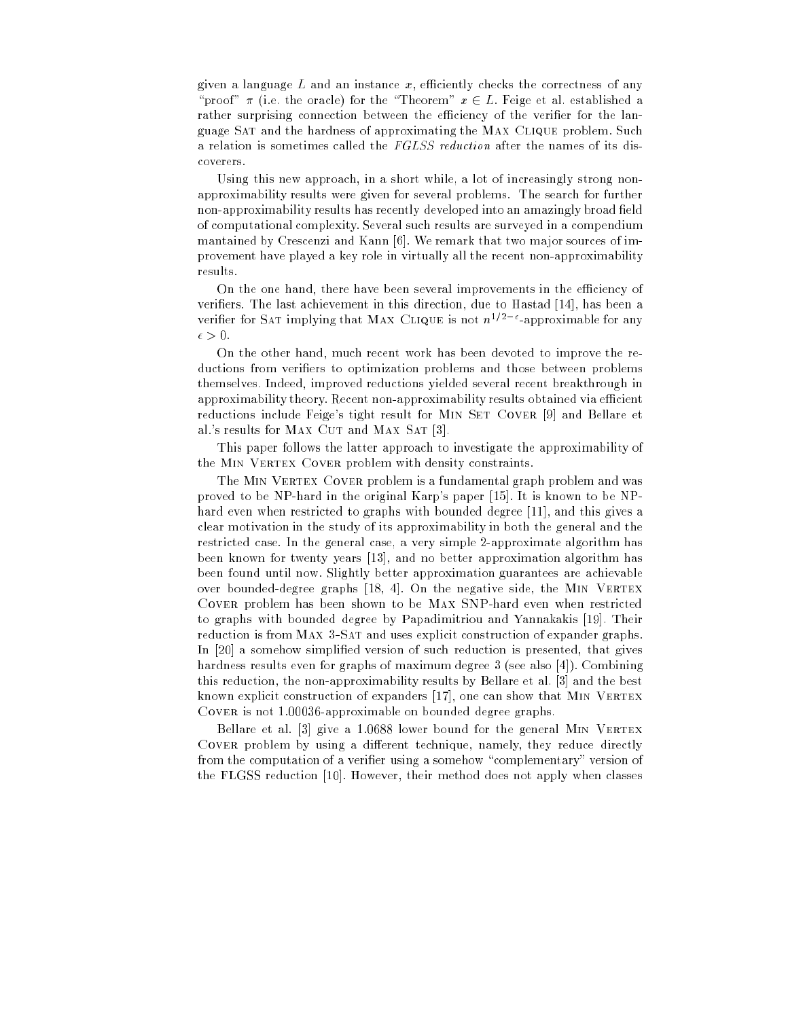given a language L and an instance  $x$ , efficiently checks the correctness of any "proof"  $\pi$  (i.e. the oracle) for the "Theorem"  $x \in L$ . Feige et al. established a rather surprising connection between the efficiency of the verifier for the language Sat and the hardness of approximating the Max Clique problem. Such a relation is sometimes called the FGLSS reduction after the names of its discoverers.

Using this new approach, in a short while, a lot of increasingly strong nonapproximability results were given for several problems. The search for further non-approximability results has recently developed into an amazingly broad field of computational complexity. Several such results are surveyed in a compendium mantained by Crescenzi and Kann [6]. We remark that two major sources of improvement have played a key role in virtually all the recent non-approximability results.

On the one hand, there have been several improvements in the efficiency of verifiers. The last achievement in this direction, due to Hastad [14], has been a verifier for Sat implying that MAX ULIQUE is not  $n<sup>2</sup>$  = 2-approximable for any  $\epsilon > 0$ .

On the other hand, much recent work has been devoted to improve the reductions from verifiers to optimization problems and those between problems themselves. Indeed, improved reductions yielded several recent breakthrough in approximability theory. Recent non-approximability results obtained via efficient reductions include Feige's tight result for MIN SET COVER [9] and Bellare et al.'s results for MAX CUT and MAX SAT [3].

This paper follows the latter approach to investigate the approximability of the MIN VERTEX COVER problem with density constraints.

The MIN VERTEX COVER problem is a fundamental graph problem and was proved to be NP-hard in the original Karp's paper [15]. It is known to be NPhard even when restricted to graphs with bounded degree [11], and this gives a clear motivation in the study of its approximability in both the general and the restricted case. In the general case, a very simple 2-approximate algorithm has been known for twenty years [13], and no better approximation algorithm has been found until now. Slightly better approximation guarantees are achievable over bounded-degree graphs [18, 4]. On the negative side, the MIN VERTEX Cover problem has been shown to be Max SNP-hard even when restricted to graphs with bounded degree by Papadimitriou and Yannakakis [19]. Their reduction is from MAX 3-SAT and uses explicit construction of expander graphs. In [20] a somehow simplied version of such reduction is presented, that gives hardness results even for graphs of maximum degree 3 (see also [4]). Combining this reduction, the non-approximability results by Bellare et al. [3] and the best known explicit construction of expanders [17], one can show that MIN VERTEX Cover is not 1.00036-approximable on bounded degree graphs.

Bellare et al. [3] give a 1.0688 lower bound for the general MIN VERTEX COVER problem by using a different technique, namely, they reduce directly from the computation of a verifier using a somehow "complementary" version of the FLGSS reduction [10]. However, their method does not apply when classes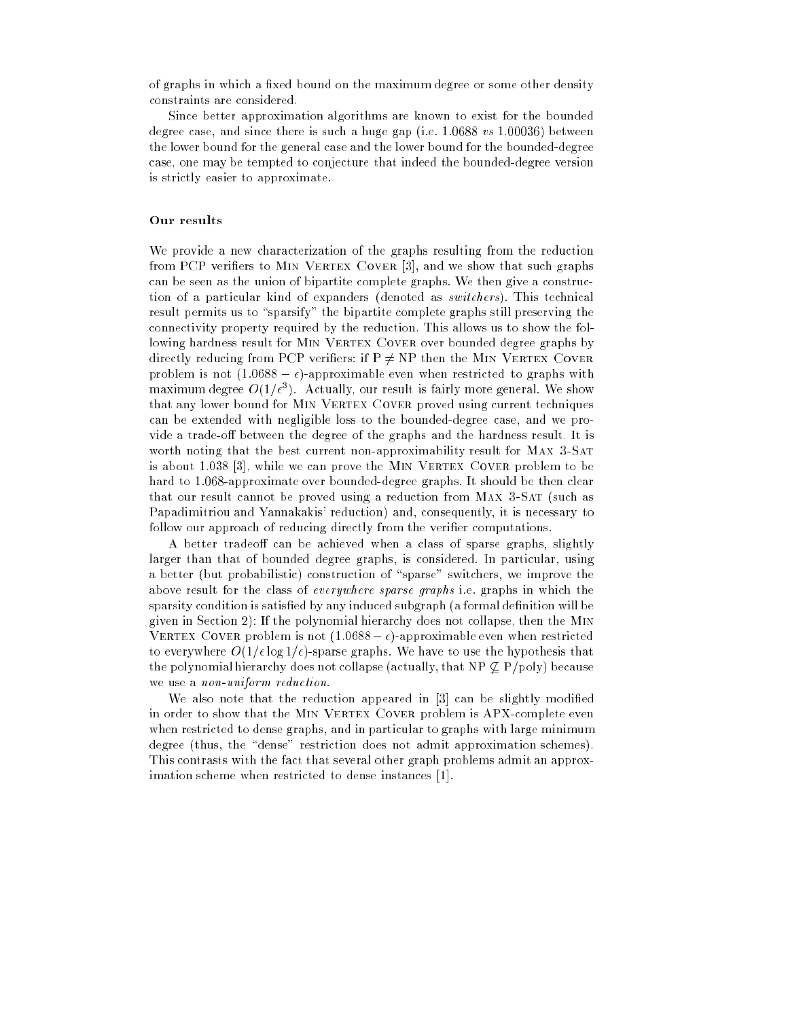of graphs in which a fixed bound on the maximum degree or some other density constraints are considered.

Since better approximation algorithms are known to exist for the bounded degree case, and since there is such a huge gap (i.e. 1.0688 vs 1.00036) between the lower bound for the general case and the lower bound for the bounded-degree case, one may be tempted to conjecture that indeed the bounded-degree version is strictly easier to approximate.

#### Our results

We provide a new characterization of the graphs resulting from the reduction from PCP verifiers to MIN VERTEX COVER [3], and we show that such graphs can be seen as the union of bipartite complete graphs. We then give a construction of a particular kind of expanders (denoted as switchers). This technical result permits us to "sparsify" the bipartite complete graphs still preserving the connectivity property required by the reduction. This allows us to show the following hardness result for MIN VERTEX COVER over bounded degree graphs by directly reducing from PCP verifiers: if  $P \neq NP$  then the MIN VERTEX COVER problem is not (1.0688 –  $\epsilon$ )-approximable even when restricted to graphs with  $\max$ imum degree  $O(1/\epsilon^*)$ . Actually, our result is fairly more general. We show that any lower bound for MIN VERTEX COVER proved using current techniques can be extended with negligible loss to the bounded-degree case, and we provide a trade-off between the degree of the graphs and the hardness result. It is worth noting that the best current non-approximability result for MAX 3-SAT is about 1.038 [3], while we can prove the MIN VERTEX COVER problem to be hard to 1.068-approximate over bounded-degree graphs. It should be then clear that our result cannot be proved using a reduction from MAX 3-SAT (such as Papadimitriou and Yannakakis' reduction) and, consequently, it is necessary to follow our approach of reducing directly from the verifier computations.

A better tradeoff can be achieved when a class of sparse graphs, slightly larger than that of bounded degree graphs, is considered. In particular, using a better (but probabilistic) construction of "sparse" switchers, we improve the above result for the class of everywhere sparse graphs i.e. graphs in which the sparsity condition is satisfied by any induced subgraph (a formal definition will be given in Section 2): If the polynomial hierarchy does not collapse, then the Min VERTEX COVER problem is not  $(1.0688 - \epsilon)$ -approximable even when restricted to everywhere  $O(1/\epsilon \log 1/\epsilon)$ -sparse graphs. We have to use the hypothesis that the polynomial hierarchy does not collapse (actually, that  $NP \not\subset P/\text{poly}$ ) because we use a *non-uniform reduction*.

We also note that the reduction appeared in [3] can be slightly modified in order to show that the MIN VERTEX COVER problem is APX-complete even when restricted to dense graphs, and in particular to graphs with large minimum degree (thus, the "dense" restriction does not admit approximation schemes). This contrasts with the fact that several other graph problems admit an approximation scheme when restricted to dense instances [1].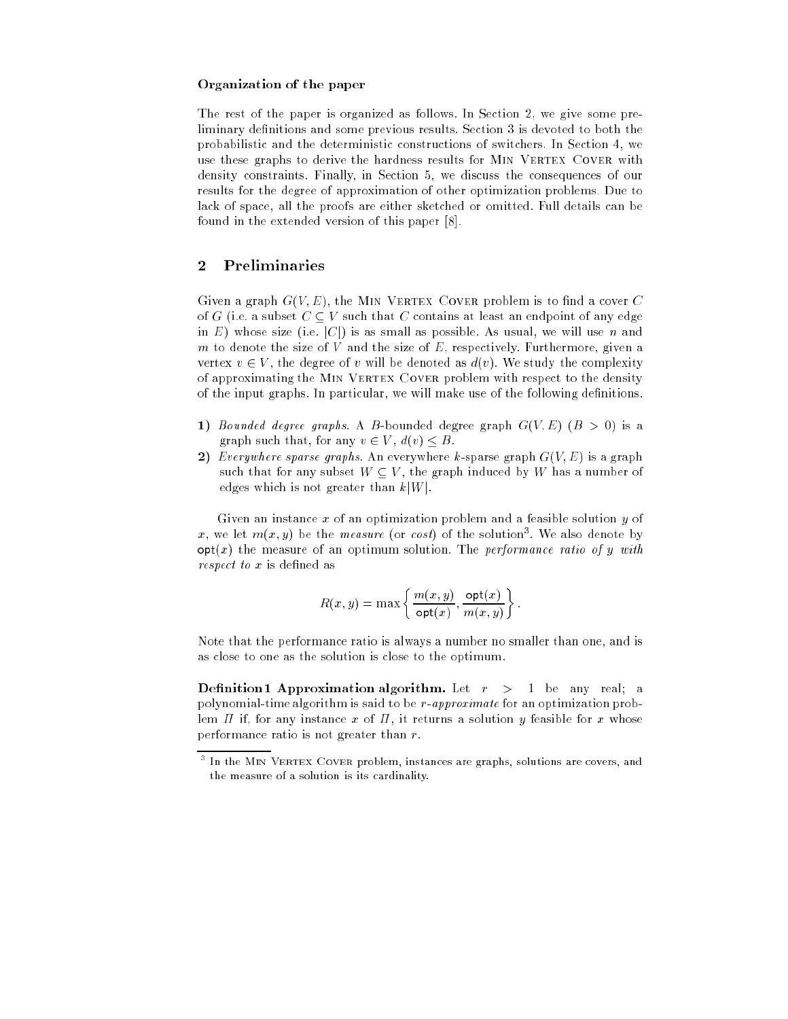#### Organization of the paper

The rest of the paper is organized as follows. In Section 2, we give some preliminary definitions and some previous results. Section 3 is devoted to both the probabilistic and the deterministic constructions of switchers. In Section 4, we use these graphs to derive the hardness results for MIN VERTEX COVER with density constraints. Finally, in Section 5, we discuss the consequences of our results for the degree of approximation of other optimization problems. Due to lack of space, all the proofs are either sketched or omitted. Full details can be found in the extended version of this paper [8].

#### $\overline{2}$ **Preliminaries**

Given a graph  $G(V, E)$ , the MIN VERTEX COVER problem is to find a cover C of G (i.e. a subset  $C \subseteq V$  such that C contains at least an endpoint of any edge in E) whose size (i.e.  $|C|$ ) is as small as possible. As usual, we will use n and m to denote the size of  $V$  and the size of  $E$ , respectively. Furthermore, given a vertex  $v \in V$ , the degree of v will be denoted as  $d(v)$ . We study the complexity of approximating the MIN VERTEX COVER problem with respect to the density of the input graphs. In particular, we will make use of the following definitions.

- 1) Bounded degree graphs. A B-bounded degree graph  $G(V, E)$   $(B > 0)$  is a graph such that, for any  $v \in V$ ,  $d(v) \leq B$ .
- 2) Everywhere sparse graphs. An everywhere k-sparse graph  $G(V, E)$  is a graph such that for any subset  $W \subseteq V$ , the graph induced by W has a number of edges which is not greater than  $k|W|$ .

Given an instance x of an optimization problem and a feasible solution  $y$  of x, we fet  $m(x, y)$  be the measure (or cost) of the solution. We also denote by  $opt(x)$  the measure of an optimum solution. The *performance ratio of y with* respect to  $x$  is defined as

$$
R(x, y) = \max \left\{ \frac{m(x, y)}{\text{opt}(x)}, \frac{\text{opt}(x)}{m(x, y)} \right\}.
$$

Note that the performance ratio is always a number no smaller than one, and is as close to one as the solution is close to the optimum.

**Definition 1 Approximation algorithm.** Let  $r > 1$  be any real; a polynomial-time algorithm is said to be r-approximate for an optimization problem  $\Pi$  if, for any instance x of  $\Pi$ , it returns a solution y feasible for x whose performance ratio is not greater than r.

 $^\circ$  in the Min VERTEX COVER problem, instances are graphs, solutions are covers, and the measure of a solution is its cardinality.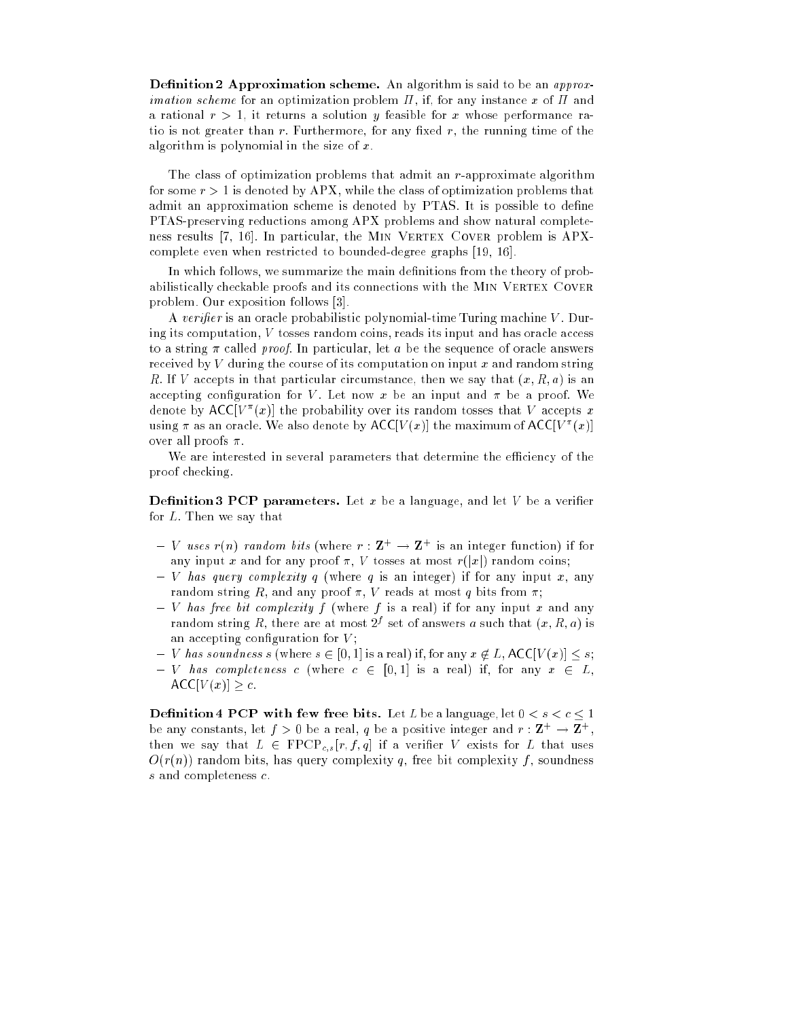**Definition 2 Approximation scheme.** An algorithm is said to be an *approximation scheme* for an optimization problem  $\Pi$ , if, for any instance x of  $\Pi$  and a rational  $r > 1$ , it returns a solution y feasible for x whose performance ratio is not greater than  $r$ . Furthermore, for any fixed  $r$ , the running time of the algorithm is polynomial in the size of x.

The class of optimization problems that admit an r-approximate algorithm for some  $r > 1$  is denoted by APX, while the class of optimization problems that admit an approximation scheme is denoted by PTAS. It is possible to define PTAS-preserving reductions among APX problems and show natural completeness results [7, 16]. In particular, the MIN VERTEX COVER problem is APXcomplete even when restricted to bounded-degree graphs [19, 16].

In which follows, we summarize the main definitions from the theory of probabilistically checkable proofs and its connections with the MIN VERTEX COVER problem. Our exposition follows [3].

A verifier is an oracle probabilistic polynomial-time Turing machine  $V$ . During its computation, <sup>V</sup> tosses random coins, reads its input and has oracle access to a string  $\pi$  called *proof.* In particular, let a be the sequence of oracle answers received by  $V$  during the course of its computation on input  $x$  and random string R. If V accepts in that particular circumstance, then we say that  $(x, R, a)$  is an accepting configuration for V. Let now x be an input and  $\pi$  be a proof. We denote by  $\mathsf{ACC}[V^\pi(x)]$  the probability over its random tosses that V accepts x using  $\pi$  as an oracle. We also denote by ACC[V(x)] the maximum of ACC[V<sup> $\pi$ </sup>(x)] over all proofs  $\pi$ .

We are interested in several parameters that determine the efficiency of the proof checking.

**Definition 3 PCP parameters.** Let x be a language, and let V be a verifier for L. Then we say that

- ${\color{black} -}$  v uses  $r(n)$  random bits (where  $r: {\color{black} {\bf Z}_1} \rightarrow {\color{black} {\bf Z}_2}$  is an integer function) if for any input x and for any proof  $\pi$ , V tosses at most  $r(|x|)$  random coins;
- ${\cal V}$  has query complexity q (where q is an integer) if for any input x, any random string R, and any proof  $\pi$ , V reads at most q bits from  $\pi$ ;
- ${\cal V}$  has free bit complexity f (where f is a real) if for any input x and any random string  $R$ , there are at most  $z<sup>i</sup>$  set of answers a such that  $(x, R, a)$  is an accepting configuration for  $V$ ;
- ${\cal V}$  has soundness s (where  $s \in [0, 1]$  is a real) if, for any  $x \notin L$ , ACC[ $V(x)$ ]  $\leq s$ ;
- ${\rm -V}$  has completeness c (where  $c \in [0,1]$  is a real) if, for any  $x \in L$ ,  $\mathsf{ACC}[V(x)] \geq c.$

**Definition 4 PCP with few free bits.** Let L be a language, let  $0 < s < c \leq 1$ be any constants, let  $f > 0$  be a real, q be a positive integer and  $r : \mathbf{Z} \to \mathbf{Z}^+$ , then we say that  $L \in \text{FPCP}_{c,s}[r, f, q]$  if a verifier V exists for L that uses  $O(r(n))$  random bits, has query complexity q, free bit complexity f, soundness  $s$  and completeness  $c$ .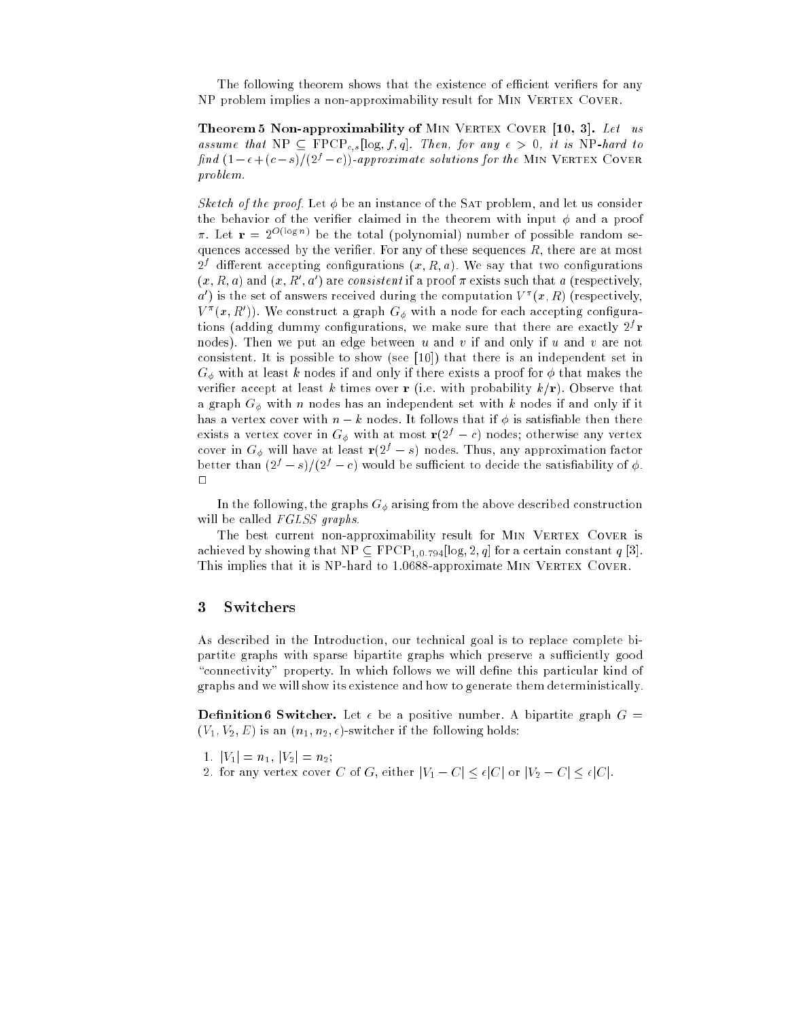The following theorem shows that the existence of efficient verifiers for any NP problem implies a non-approximability result for MIN VERTEX COVER.

Theorem 5 Non-approximability of MIN VERTEX COVER  $[10, 3]$ . Let us assume that NP  $\subseteq$  FPCP<sub>c,s</sub>[log, f, q]. Then, for any  $\epsilon > 0$ , it is NP-hard to find  $(1- \epsilon+(c-s)/(2^f - c))$ -approximate solutions for the MIN VERTEX COVER problem.

Sketch of the proof. Let  $\phi$  be an instance of the SAT problem, and let us consider the behavior of the verifier claimed in the theorem with input  $\phi$  and a proof  $\pi$ . Let  ${\bf r} = 2^{\circ \cdots \circ \circ \circ}$  be the total (polynomial) number of possible random sequences accessed by the verifier. For any of these sequences  $R$ , there are at most  $2^j$  -different accepting configurations  $(x, K, a)$ . We say that two configurations  $(x, n, a)$  and  $(x, n, a)$  are consistent if a proof a exists such that a (respectively,  $a_{\perp}$  is the set of answers received during the computation  $V^-(x, R)$  (respectively,  $V^{\circ}(x,\mathbf{a})$ ). We construct a graph  $\mathbf{G}_{\phi}$  with a node for each accepting comigurations (adding dummy conngurations, we make sure that there are exactly 24 r nodes). Then we put an edge between u and v if and only if u and v are not consistent. It is possible to show (see [10]) that there is an independent set in  $G_{\phi}$  with at least k nodes if and only if there exists a proof for  $\phi$  that makes the verifier accept at least k times over r (i.e. with probability  $k/\mathbf{r}$ ). Observe that a graph  $G_{\phi}$  with n nodes has an independent set with k nodes if and only if it has a vertex cover with  $n-k$  nodes. It follows that if  $\phi$  is satisfiable then there exists a vertex cover in  $G_{\phi}$  with at most  $r(2^{f} - c)$  nodes; otherwise any vertex cover in  $G_{\phi}$  will have at least  $r(2^{f}-s)$  nodes. Thus, any approximation factor better than  $(2<sup>f</sup> - s)/(2<sup>f</sup> - c)$  would be sufficient to decide the satisfiability of  $\phi$ .  $\Box$ 

In the following, the graphs  $G_{\phi}$  arising from the above described construction will be called *FGLSS* graphs.

The best current non-approximability result for MIN VERTEX COVER is achieved by showing that NP  $\subseteq$  FPCP<sub>1,0.794</sub>[log, 2, q] for a certain constant q [3]. This implies that it is NP-hard to 1.0688-approximate MIN VERTEX COVER.

# <sup>3</sup> Switchers

As described in the Introduction, our technical goal is to replace complete bipartite graphs with sparse bipartite graphs which preserve a sufficiently good "connectivity" property. In which follows we will define this particular kind of graphs and we will show its existence and how to generate them deterministically.

**Definition 6 Switcher.** Let  $\epsilon$  be a positive number. A bipartite graph  $G =$  $(V_1, V_2, E)$  is an  $(n_1, n_2, \epsilon)$ -switcher if the following holds:

- 1.  $|V_1| = n_1$ ,  $|V_2| = n_2$ ;
- 2. for any vertex cover C of G, either  $|V_1 C| \leq \epsilon |C|$  or  $|V_2 C| \leq \epsilon |C|$ .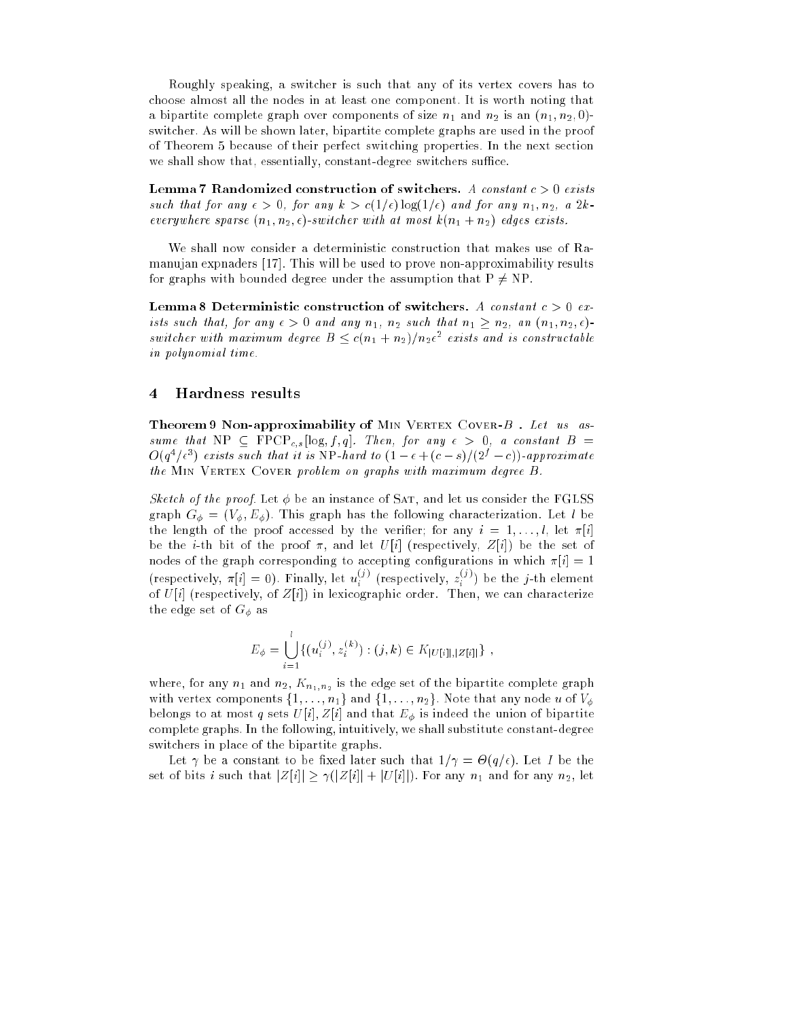Roughly speaking, a switcher is such that any of its vertex covers has to choose almost all the nodes in at least one component. It is worth noting that a bipartite complete graph over components of size  $n_1$  and  $n_2$  is an  $(n_1, n_2, 0)$ switcher. As will be shown later, bipartite complete graphs are used in the proof of Theorem 5 because of their perfect switching properties. In the next section we shall show that, essentially, constant-degree switchers suffice.

Lemma 7 Randomized construction of switchers. A constant  $c > 0$  exists such that for any  $\epsilon > 0$ , for any  $k > c(1/\epsilon) \log(1/\epsilon)$  and for any  $n_1, n_2, a 2k$ everywhere sparse  $(n_1, n_2, \epsilon)$ -switcher with at most  $k(n_1 + n_2)$  edges exists.

We shall now consider a deterministic construction that makes use of Ramanujan expnaders [17]. This will be used to prove non-approximability results for graphs with bounded degree under the assumption that  $P \neq NP$ .

**Lemma 8 Deterministic construction of switchers.** A constant  $c > 0$  exists such that, for any  $\epsilon > 0$  and any  $n_1$ ,  $n_2$  such that  $n_1 \ge n_2$ , an  $(n_1, n_2, \epsilon)$ switcher with maximum aegree  $B \leq c(n_1+n_2)/n_2$ e exists and is constructable in polynomial time.

## <sup>4</sup> Hardness results

**Theorem 9 Non-approximability of MIN VERTEX COVER-B.** Let us assume that NP  $\subseteq$  FPCP<sub>c,s</sub>[log, f,q]. Then, for any  $\epsilon > 0$ , a constant  $B =$  $O(q^+) \epsilon^+$  exists such that it is  $N$ P-hard to  $(1 - \epsilon + (\epsilon - s))/(2\epsilon - c)$ )-approximate the MIN VERTEX COVER problem on graphs with maximum degree B.

Sketch of the proof. Let  $\phi$  be an instance of SAT, and let us consider the FGLSS graph  $G_{\phi} = (V_{\phi}, E_{\phi})$ . This graph has the following characterization. Let l be the length of the proof accessed by the verifier; for any  $i = 1, \ldots, l$ , let  $\pi[i]$ be the *i*-th bit of the proof  $\pi$ , and let U[i] (respectively, Z[i]) be the set of nodes of the graph corresponding to accepting configurations in which  $\pi[i] = 1$ (respectively,  $\pi[i] = 0$ ). Finally, let  $u_i^{\vee}$  (respectively,  $z_i^{\vee}$ ) be the j-th element of <sup>U</sup> [i] (respectively, of Z[i]) in lexicographic order. Then, we can characterize the edge set of  $G_{\phi}$  as

$$
E_{\phi} = \bigcup_{i=1}^{l} \{ (u_i^{(j)}, z_i^{(k)}) : (j, k) \in K_{|U[i]|, |Z[i]|} \},
$$

where, for any  $n_1$  and  $n_2$ ,  $K_{n_1,n_2}$  is the edge set of the bipartite complete graph with vertex components  $\{1, \ldots, n_1\}$  and  $\{1, \ldots, n_2\}$ . Note that any node u of  $V_{\phi}$ belongs to at most q sets  $U[i], Z[i]$  and that  $E_{\phi}$  is indeed the union of bipartite complete graphs. In the following, intuitively, we shall substitute constant-degree switchers in place of the bipartite graphs.

ass, we are constant to be accepted forced and the such as  $\mathcal{L}_{\mathcal{A}}$ set of bits *i* such that  $|Z[i]| \geq \gamma(|Z[i]| + |U[i]|)$ . For any  $n_1$  and for any  $n_2$ , let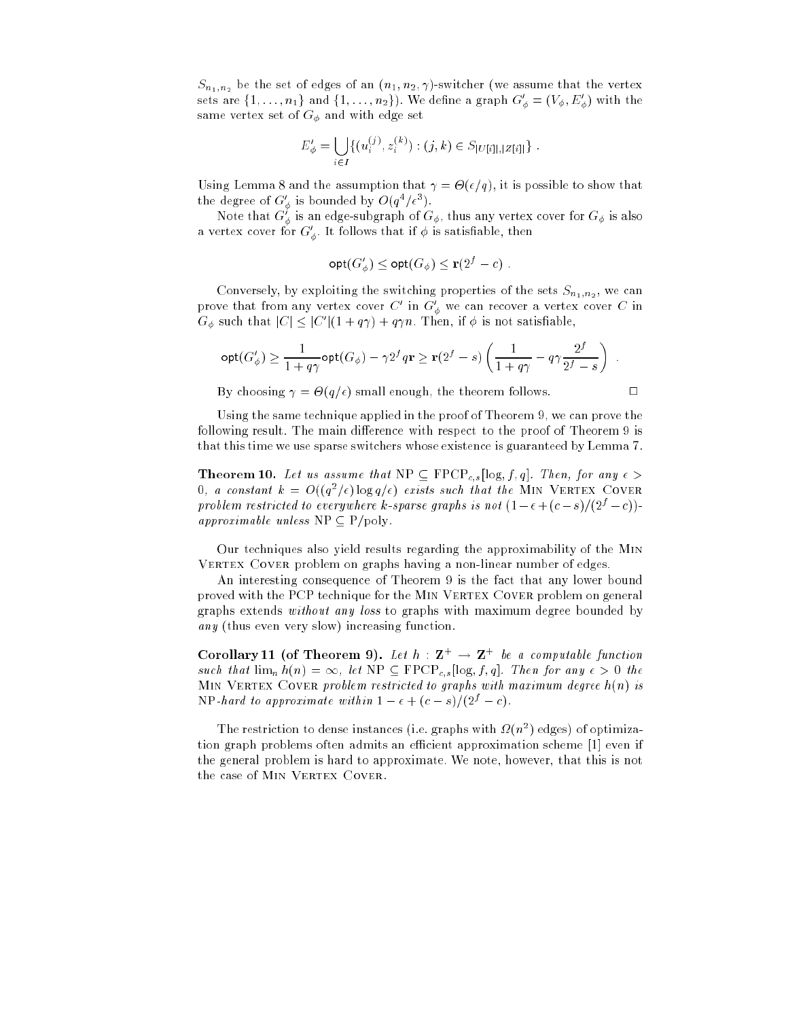$S_{n_1,n_2}$  be the set of edges of an  $(n_1,n_2,\gamma)$ -switcher (we assume that the vertex sets are  $\{1,\ldots,n_1\}$  and  $\{1,\ldots,n_2\}$  , we define a graph  $\mathrm{G}_\phi=(\mathrm{V}_\phi,\mathrm{E}_\phi)$  with the same vertex set of  $G_{\phi}$  and with edge set

$$
E'_{\phi} = \bigcup_{i \in I} \{ (u_i^{(j)}, z_i^{(k)}) : (j, k) \in S_{|U[i]|, |Z[i]|} \} .
$$

Using Lemma 8 and the assumption that the assumption that the possible to show that the show that the show that is possible to the show that is a second to the show that is a second to show that is a second to show the sho the degree of  $G_{\phi}$  is bounded by  $O(q^2/\epsilon^2)$ .

Note that  $\mathrm{G}_\phi$  is an edge-subgraph of  $\mathrm{G}_\phi$ , thus any vertex cover for  $\mathrm{G}_\phi$  is also a vertex cover for  $\mathrm{G}_{\phi}.$  It follows that if  $\phi$  is satisfiable, then

$$
\textsf{opt}(G'_\phi) \leq \textsf{opt}(G_\phi) \leq \mathbf{r}(2^f - c) \enspace .
$$

Conversely, by exploiting the switching properties of the sets  $S_{n_1,n_2}$ , we can prove that from any vertex cover C in  $G_{\phi}$  we can recover a vertex cover C in  $G_{\phi}$  such that  $|C| \leq |C| (1 + q\gamma) + q\gamma n$ . Then, if  $\phi$  is not satisfiable,

$$
\mathsf{opt}(G'_\phi) \geq \frac{1}{1+q\gamma}\mathsf{opt}(G_\phi) - \gamma 2^f q \mathbf{r} \geq \mathbf{r}(2^f-s)\left(\frac{1}{1+q\gamma} - q\gamma \frac{2^f}{2^f-s}\right) \; .
$$

 $\mathcal{L}$  , the small enough  $\mathcal{L}$  enough  $\mathcal{L}$  small enough  $\mathcal{L}$  . 200 small enough  $\mathcal{L}$ 

Using the same technique applied in the proof of Theorem 9, we can prove the following result. The main difference with respect to the proof of Theorem 9 is that this time we use sparse switchers whose existence is guaranteed by Lemma 7.

**Theorem 10.** Let us assume that  $NP \subseteq FPCP_{c,s}[\log f, q]$ . Then, for any  $\epsilon >$ U, a constant  $\kappa = O((q^2/\epsilon) \log q/\epsilon)$  exists such that the MIN VERTEX COVER problem restricted to everywhere  $\kappa$ -sparse graphs is not  $(1 - \epsilon + (c - s)/(2^s - c))$ approximable unless  $NP \subset P/poly$ .

Our techniques also yield results regarding the approximability of the Min VERTEX COVER problem on graphs having a non-linear number of edges.

An interesting consequence of Theorem 9 is the fact that any lower bound proved with the PCP technique for the MIN VERTEX COVER problem on general graphs extends without any loss to graphs with maximum degree bounded by any (thus even very slow) increasing function.

Corollary 11 (of Theorem 9). Let  $h : \mathbb{Z}^+ \to \mathbb{Z}^+$  be a computable function such that  $\lim_{t \to \infty} \frac{1}{t}$  is the form in  $\mathcal{L} = \mathcal{L} = \mathcal{L} = \mathcal{L} = \mathcal{L}$ . Then for any  $\mathcal{L} = \mathcal{L} = \mathcal{L}$ MIN VERTEX COVER problem restricted to graphs with maximum degree  $h(n)$  is NP-hard to approximate within  $1 - \epsilon + (c - s)/(2^f - c)$ .

The restriction to dense instances (i.e. graphs with  $\Omega(n^+)$  edges) of optimization graph problems often admits an efficient approximation scheme [1] even if the general problem is hard to approximate. We note, however, that this is not the case of MIN VERTEX COVER.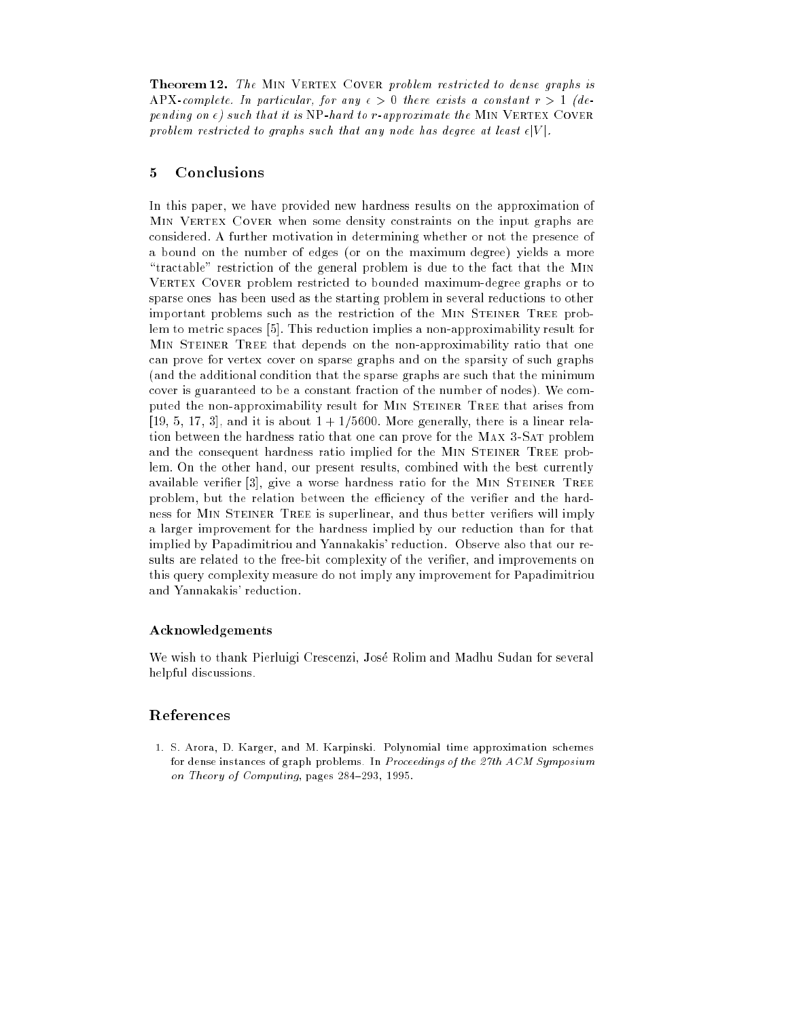Theorem 12. The MIN VERTEX COVER problem restricted to dense graphs is APX-complete. In particular, for any  $\epsilon > 0$  there exists a constant  $r > 1$  (depending on  $\epsilon$ ) such that it is NP-hard to r-approximate the MIN VERTEX COVER problem restricted to graphs such that any node has degree at least  $\epsilon|V|$ .

# <sup>5</sup> Conclusions

In this paper, we have provided new hardness results on the approximation of MIN VERTEX COVER when some density constraints on the input graphs are considered. A further motivation in determining whether or not the presence of a bound on the number of edges (or on the maximum degree) yields a more "tractable" restriction of the general problem is due to the fact that the MIN VERTEX COVER problem restricted to bounded maximum-degree graphs or to sparse ones has been used as the starting problem in several reductions to other important problems such as the restriction of the Min Steiner Tree problem to metric spaces [5]. This reduction implies a non-approximability result for Min Steiner Tree that depends on the non-approximability ratio that one can prove for vertex cover on sparse graphs and on the sparsity of such graphs (and the additional condition that the sparse graphs are such that the minimum cover is guaranteed to be a constant fraction of the number of nodes). We computed the non-approximability result for MIN STEINER TREE that arises from [19, 5, 17, 3], and it is about  $1+1/5600$ . More generally, there is a linear relation between the hardness ratio that one can prove for the Max 3-Sat problem and the consequent hardness ratio implied for the MIN STEINER TREE problem. On the other hand, our present results, combined with the best currently available verifier [3], give a worse hardness ratio for the MIN STEINER TREE problem, but the relation between the efficiency of the verifier and the hardness for MIN STEINER TREE is superlinear, and thus better verifiers will imply a larger improvement for the hardness implied by our reduction than for that implied by Papadimitriou and Yannakakis' reduction. Observe also that our results are related to the free-bit complexity of the verifier, and improvements on this query complexity measure do not imply any improvement for Papadimitriou and Yannakakis' reduction.

## Acknowledgements

We wish to thank Pierluigi Crescenzi, Jose Rolim and Madhu Sudan for several helpful discussions.

# References

1. S. Arora, D. Karger, and M. Karpinski. Polynomial time approximation schemes for dense instances of graph problems. In Proceedings of the 27th ACM Symposium on Theory of Computing, pages  $284-293$ , 1995.